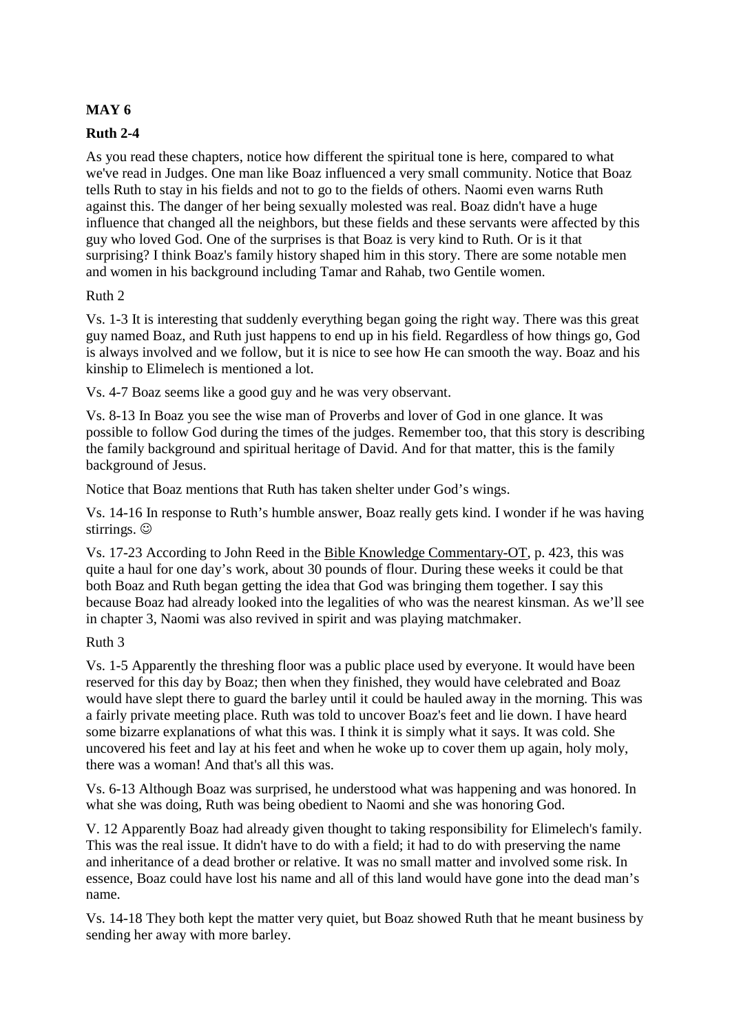## **MAY 6**

# **Ruth 2-4**

As you read these chapters, notice how different the spiritual tone is here, compared to what we've read in Judges. One man like Boaz influenced a very small community. Notice that Boaz tells Ruth to stay in his fields and not to go to the fields of others. Naomi even warns Ruth against this. The danger of her being sexually molested was real. Boaz didn't have a huge influence that changed all the neighbors, but these fields and these servants were affected by this guy who loved God. One of the surprises is that Boaz is very kind to Ruth. Or is it that surprising? I think Boaz's family history shaped him in this story. There are some notable men and women in his background including Tamar and Rahab, two Gentile women.

### Ruth 2

Vs. 1-3 It is interesting that suddenly everything began going the right way. There was this great guy named Boaz, and Ruth just happens to end up in his field. Regardless of how things go, God is always involved and we follow, but it is nice to see how He can smooth the way. Boaz and his kinship to Elimelech is mentioned a lot.

Vs. 4-7 Boaz seems like a good guy and he was very observant.

Vs. 8-13 In Boaz you see the wise man of Proverbs and lover of God in one glance. It was possible to follow God during the times of the judges. Remember too, that this story is describing the family background and spiritual heritage of David. And for that matter, this is the family background of Jesus.

Notice that Boaz mentions that Ruth has taken shelter under God's wings.

Vs. 14-16 In response to Ruth's humble answer, Boaz really gets kind. I wonder if he was having stirrings.  $\odot$ 

Vs. 17-23 According to John Reed in the Bible Knowledge Commentary-OT, p. 423, this was quite a haul for one day's work, about 30 pounds of flour. During these weeks it could be that both Boaz and Ruth began getting the idea that God was bringing them together. I say this because Boaz had already looked into the legalities of who was the nearest kinsman. As we'll see in chapter 3, Naomi was also revived in spirit and was playing matchmaker.

## Ruth 3

Vs. 1-5 Apparently the threshing floor was a public place used by everyone. It would have been reserved for this day by Boaz; then when they finished, they would have celebrated and Boaz would have slept there to guard the barley until it could be hauled away in the morning. This was a fairly private meeting place. Ruth was told to uncover Boaz's feet and lie down. I have heard some bizarre explanations of what this was. I think it is simply what it says. It was cold. She uncovered his feet and lay at his feet and when he woke up to cover them up again, holy moly, there was a woman! And that's all this was.

Vs. 6-13 Although Boaz was surprised, he understood what was happening and was honored. In what she was doing, Ruth was being obedient to Naomi and she was honoring God.

V. 12 Apparently Boaz had already given thought to taking responsibility for Elimelech's family. This was the real issue. It didn't have to do with a field; it had to do with preserving the name and inheritance of a dead brother or relative. It was no small matter and involved some risk. In essence, Boaz could have lost his name and all of this land would have gone into the dead man's name.

Vs. 14-18 They both kept the matter very quiet, but Boaz showed Ruth that he meant business by sending her away with more barley.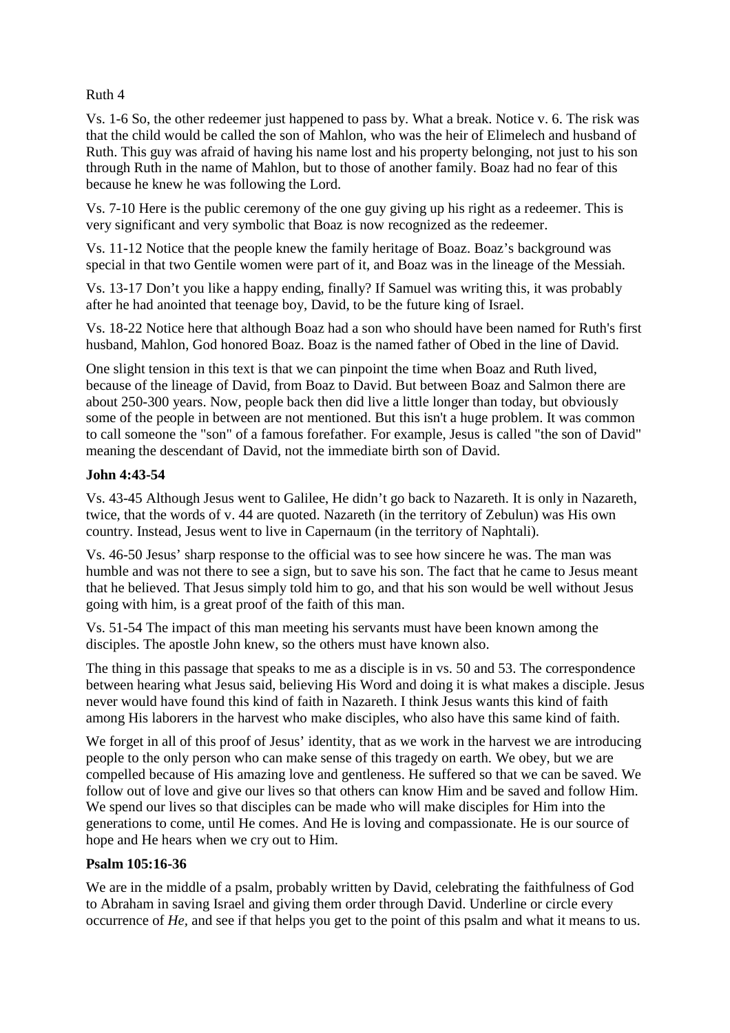### Ruth 4

Vs. 1-6 So, the other redeemer just happened to pass by. What a break. Notice v. 6. The risk was that the child would be called the son of Mahlon, who was the heir of Elimelech and husband of Ruth. This guy was afraid of having his name lost and his property belonging, not just to his son through Ruth in the name of Mahlon, but to those of another family. Boaz had no fear of this because he knew he was following the Lord.

Vs. 7-10 Here is the public ceremony of the one guy giving up his right as a redeemer. This is very significant and very symbolic that Boaz is now recognized as the redeemer.

Vs. 11-12 Notice that the people knew the family heritage of Boaz. Boaz's background was special in that two Gentile women were part of it, and Boaz was in the lineage of the Messiah.

Vs. 13-17 Don't you like a happy ending, finally? If Samuel was writing this, it was probably after he had anointed that teenage boy, David, to be the future king of Israel.

Vs. 18-22 Notice here that although Boaz had a son who should have been named for Ruth's first husband, Mahlon, God honored Boaz. Boaz is the named father of Obed in the line of David.

One slight tension in this text is that we can pinpoint the time when Boaz and Ruth lived, because of the lineage of David, from Boaz to David. But between Boaz and Salmon there are about 250-300 years. Now, people back then did live a little longer than today, but obviously some of the people in between are not mentioned. But this isn't a huge problem. It was common to call someone the "son" of a famous forefather. For example, Jesus is called "the son of David" meaning the descendant of David, not the immediate birth son of David.

## **John 4:43-54**

Vs. 43-45 Although Jesus went to Galilee, He didn't go back to Nazareth. It is only in Nazareth, twice, that the words of v. 44 are quoted. Nazareth (in the territory of Zebulun) was His own country. Instead, Jesus went to live in Capernaum (in the territory of Naphtali).

Vs. 46-50 Jesus' sharp response to the official was to see how sincere he was. The man was humble and was not there to see a sign, but to save his son. The fact that he came to Jesus meant that he believed. That Jesus simply told him to go, and that his son would be well without Jesus going with him, is a great proof of the faith of this man.

Vs. 51-54 The impact of this man meeting his servants must have been known among the disciples. The apostle John knew, so the others must have known also.

The thing in this passage that speaks to me as a disciple is in vs. 50 and 53. The correspondence between hearing what Jesus said, believing His Word and doing it is what makes a disciple. Jesus never would have found this kind of faith in Nazareth. I think Jesus wants this kind of faith among His laborers in the harvest who make disciples, who also have this same kind of faith.

We forget in all of this proof of Jesus' identity, that as we work in the harvest we are introducing people to the only person who can make sense of this tragedy on earth. We obey, but we are compelled because of His amazing love and gentleness. He suffered so that we can be saved. We follow out of love and give our lives so that others can know Him and be saved and follow Him. We spend our lives so that disciples can be made who will make disciples for Him into the generations to come, until He comes. And He is loving and compassionate. He is our source of hope and He hears when we cry out to Him.

#### **Psalm 105:16-36**

We are in the middle of a psalm, probably written by David, celebrating the faithfulness of God to Abraham in saving Israel and giving them order through David. Underline or circle every occurrence of *He,* and see if that helps you get to the point of this psalm and what it means to us.